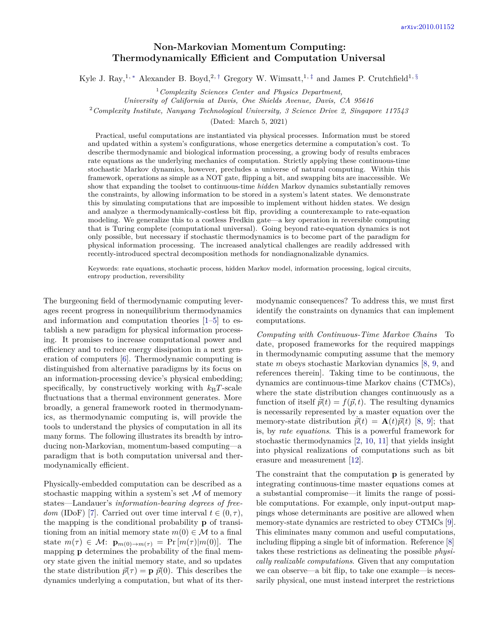## **Non-Markovian Momentum Computing: Thermodynamically Efficient and Computation Universal**

Kyle J. Ray,<sup>1,\*</sup> Alexander B. Boyd,<sup>2,[†](#page-4-1)</sup> Gregory W. Wimsatt,<sup>1,[‡](#page-4-2)</sup> and James P. Crutchfield<sup>1, [§](#page-4-3)</sup>

<sup>1</sup>*Complexity Sciences Center and Physics Department,*

*University of California at Davis, One Shields Avenue, Davis, CA 95616*

<sup>2</sup>*Complexity Institute, Nanyang Technological University, 3 Science Drive 2, Singapore 117543*

(Dated: March 5, 2021)

Practical, useful computations are instantiated via physical processes. Information must be stored and updated within a system's configurations, whose energetics determine a computation's cost. To describe thermodynamic and biological information processing, a growing body of results embraces rate equations as the underlying mechanics of computation. Strictly applying these continuous-time stochastic Markov dynamics, however, precludes a universe of natural computing. Within this framework, operations as simple as a NOT gate, flipping a bit, and swapping bits are inaccessible. We show that expanding the toolset to continuous-time *hidden* Markov dynamics substantially removes the constraints, by allowing information to be stored in a system's latent states. We demonstrate this by simulating computations that are impossible to implement without hidden states. We design and analyze a thermodynamically-costless bit flip, providing a counterexample to rate-equation modeling. We generalize this to a costless Fredkin gate—a key operation in reversible computing that is Turing complete (computational universal). Going beyond rate-equation dynamics is not only possible, but necessary if stochastic thermodynamics is to become part of the paradigm for physical information processing. The increased analytical challenges are readily addressed with recently-introduced spectral decomposition methods for nondiagnonalizable dynamics.

Keywords: rate equations, stochastic process, hidden Markov model, information processing, logical circuits, entropy production, reversibility

The burgeoning field of thermodynamic computing leverages recent progress in nonequilibrium thermodynamics and information and computation theories [\[1](#page-4-4)[–5\]](#page-4-5) to establish a new paradigm for physical information processing. It promises to increase computational power and efficiency and to reduce energy dissipation in a next generation of computers [\[6\]](#page-4-6). Thermodynamic computing is distinguished from alternative paradigms by its focus on an information-processing device's physical embedding; specifically, by constructively working with  $k_BT$ -scale fluctuations that a thermal environment generates. More broadly, a general framework rooted in thermodynamics, as thermodynamic computing is, will provide the tools to understand the physics of computation in all its many forms. The following illustrates its breadth by introducing non-Markovian, momentum-based computing—a paradigm that is both computation universal and thermodynamically efficient.

Physically-embedded computation can be described as a stochastic mapping within a system's set  $M$  of memory states—Landauer's *information-bearing degrees of freedom* (IDoF) [\[7\]](#page-4-7). Carried out over time interval  $t \in (0, \tau)$ , the mapping is the conditional probability **p** of transitioning from an initial memory state  $m(0) \in \mathcal{M}$  to a final state  $m(\tau) \in \mathcal{M}$ :  $\mathbf{p}_{m(0) \to m(\tau)} = \Pr[m(\tau)|m(0)]$ . The mapping **p** determines the probability of the final memory state given the initial memory state, and so updates the state distribution  $\vec{p}(\tau) = \mathbf{p} \ \vec{p}(0)$ . This describes the dynamics underlying a computation, but what of its ther-

modynamic consequences? To address this, we must first identify the constraints on dynamics that can implement computations.

*Computing with Continuous-Time Markov Chains* To date, proposed frameworks for the required mappings in thermodynamic computing assume that the memory state *m* obeys stochastic Markovian dynamics [\[8,](#page-4-8) [9,](#page-4-9) and references therein]. Taking time to be continuous, the dynamics are continuous-time Markov chains (CTMCs), where the state distribution changes continuously as a function of itself  $\vec{p}(t) = f(\vec{p}, t)$ . The resulting dynamics is necessarily represented by a master equation over the memory-state distribution  $\vec{p}(t) = \mathbf{A}(t)\vec{p}(t)$  [\[8,](#page-4-8) [9\]](#page-4-9); that is, by *rate equations*. This is a powerful framework for stochastic thermodynamics [\[2,](#page-4-10) [10,](#page-4-11) [11\]](#page-4-12) that yields insight into physical realizations of computations such as bit erasure and measurement [\[12\]](#page-4-13).

The constraint that the computation **p** is generated by integrating continuous-time master equations comes at a substantial compromise—it limits the range of possible computations. For example, only input-output mappings whose determinants are positive are allowed when memory-state dynamics are restricted to obey CTMCs [\[9\]](#page-4-9). This eliminates many common and useful computations, including flipping a single bit of information. Reference [\[8\]](#page-4-8) takes these restrictions as delineating the possible *physically realizable computations*. Given that any computation we can observe—a bit flip, to take one example—is necessarily physical, one must instead interpret the restrictions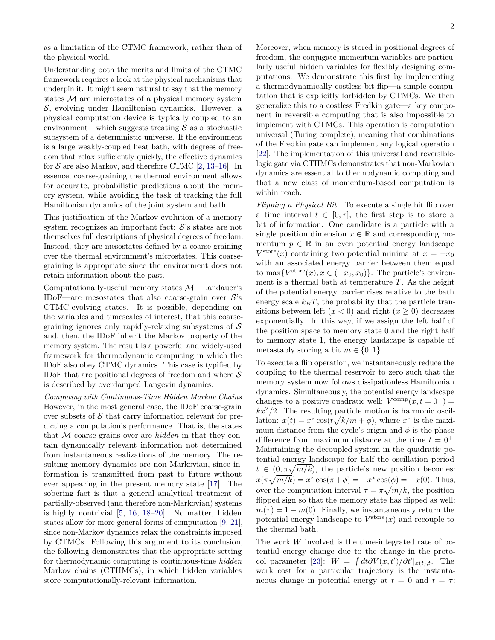Understanding both the merits and limits of the CTMC framework requires a look at the physical mechanisms that underpin it. It might seem natural to say that the memory states M are microstates of a physical memory system S, evolving under Hamiltonian dynamics. However, a physical computation device is typically coupled to an environment—which suggests treating  $\mathcal S$  as a stochastic subsystem of a deterministic universe. If the environment is a large weakly-coupled heat bath, with degrees of freedom that relax sufficiently quickly, the effective dynamics for  $S$  are also Markov, and therefore CTMC [\[2,](#page-4-10) [13–](#page-4-14)[16\]](#page-5-0). In essence, coarse-graining the thermal environment allows for accurate, probabilistic predictions about the memory system, while avoiding the task of tracking the full Hamiltonian dynamics of the joint system and bath.

This justification of the Markov evolution of a memory system recognizes an important fact:  $S$ 's states are not themselves full descriptions of physical degrees of freedom. Instead, they are mesostates defined by a coarse-graining over the thermal environment's microstates. This coarsegraining is appropriate since the environment does not retain information about the past.

Computationally-useful memory states M—Landauer's IDoF—are mesostates that also coarse-grain over  $S$ 's CTMC-evolving states. It is possible, depending on the variables and timescales of interest, that this coarsegraining ignores only rapidly-relaxing subsystems of  $\mathcal S$ and, then, the IDoF inherit the Markov property of the memory system. The result is a powerful and widely-used framework for thermodynamic computing in which the IDoF also obey CTMC dynamics. This case is typified by IDoF that are positional degrees of freedom and where  $\mathcal S$ is described by overdamped Langevin dynamics.

*Computing with Continuous-Time Hidden Markov Chains* However, in the most general case, the IDoF coarse-grain over subsets of  $S$  that carry information relevant for predicting a computation's performance. That is, the states that M coarse-grains over are *hidden* in that they contain dynamically relevant information not determined from instantaneous realizations of the memory. The resulting memory dynamics are non-Markovian, since information is transmitted from past to future without ever appearing in the present memory state [\[17\]](#page-5-1). The sobering fact is that a general analytical treatment of partially-observed (and therefore non-Markovian) systems is highly nontrivial [\[5,](#page-4-5) [16,](#page-5-0) [18](#page-5-2)[–20\]](#page-5-3). No matter, hidden states allow for more general forms of computation [\[9,](#page-4-9) [21\]](#page-5-4), since non-Markov dynamics relax the constraints imposed by CTMCs. Following this argument to its conclusion, the following demonstrates that the appropriate setting for thermodynamic computing is continuous-time *hidden* Markov chains (CTHMCs), in which hidden variables store computationally-relevant information.

Moreover, when memory is stored in positional degrees of freedom, the conjugate momentum variables are particularly useful hidden variables for flexibly designing computations. We demonstrate this first by implementing a thermodynamically-costless bit flip—a simple computation that is explicitly forbidden by CTMCs. We then generalize this to a costless Fredkin gate—a key component in reversible computing that is also impossible to implement with CTMCs. This operation is computation universal (Turing complete), meaning that combinations of the Fredkin gate can implement any logical operation [\[22\]](#page-5-5). The implementation of this universal and reversiblelogic gate via CTHMCs demonstrates that non-Markovian dynamics are essential to thermodynamic computing and that a new class of momentum-based computation is within reach.

*Flipping a Physical Bit* To execute a single bit flip over a time interval  $t \in [0, \tau]$ , the first step is to store a bit of information. One candidate is a particle with a single position dimension  $x \in \mathbb{R}$  and corresponding momentum  $p \in \mathbb{R}$  in an even potential energy landscape  $V^{\text{store}}(x)$  containing two potential minima at  $x = \pm x_0$ with an associated energy barrier between them equal to max $\{V^{\text{store}}(x), x \in (-x_0, x_0)\}$ . The particle's environment is a thermal bath at temperature *T*. As the height of the potential energy barrier rises relative to the bath energy scale  $k_B T$ , the probability that the particle transitions between left  $(x < 0)$  and right  $(x \ge 0)$  decreases exponentially. In this way, if we assign the left half of the position space to memory state 0 and the right half to memory state 1, the energy landscape is capable of metastably storing a bit  $m \in \{0, 1\}.$ 

To execute a flip operation, we instantaneously reduce the coupling to the thermal reservoir to zero such that the memory system now follows dissipationless Hamiltonian dynamics. Simultaneously, the potential energy landscape changes to a positive quadratic well:  $V^{\text{comp}}(x, t = 0^+)$  =  $kx^2/2$ . The resulting particle motion is harmonic oscillation:  $x(t) = x^* \cos(t\sqrt{k/m} + \phi)$ , where  $x^*$  is the maximum distance from the cycle's origin and  $\phi$  is the phase difference from maximum distance at the time  $t = 0^+$ . Maintaining the decoupled system in the quadratic potential energy landscape for half the oscillation period  $t \in (0, \pi\sqrt{m/k})$ , the particle's new position becomes:  $x(\pi\sqrt{m/k}) = x^* \cos(\pi + \phi) = -x^* \cos(\phi) = -x(0)$ . Thus, over the computation interval  $\tau = \pi \sqrt{m/k}$ , the position flipped sign so that the memory state has flipped as well:  $m(\tau) = 1 - m(0)$ . Finally, we instantaneously return the potential energy landscape to  $V^{\text{store}}(x)$  and recouple to the thermal bath.

The work *W* involved is the time-integrated rate of potential energy change due to the change in the proto-col parameter [\[23\]](#page-5-6):  $W = \int dt \partial V(x, t') / \partial t' |_{x(t), t}$ . The work cost for a particular trajectory is the instantaneous change in potential energy at  $t = 0$  and  $t = \tau$ :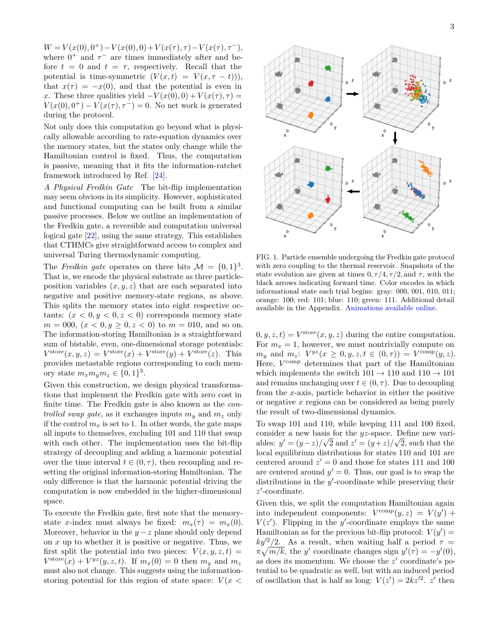$W = V(x(0), 0^+) - V(x(0), 0) + V(x(\tau), \tau) - V(x(\tau), \tau^{-}),$ where  $0^+$  and  $\tau^-$  are times immediately after and before  $t = 0$  and  $t = \tau$ , respectively. Recall that the potential is time-symmetric  $(V(x,t) = V(x, \tau - t))$ , that  $x(\tau) = -x(0)$ , and that the potential is even in *x*. These three qualities yield  $-V(x(0),0) + V(x(\tau),\tau) =$  $V(x(0), 0^+) - V(x(\tau), \tau^-) = 0$ . No net work is generated during the protocol.

Not only does this computation go beyond what is physically allowable according to rate-equation dynamics over the memory states, but the states only change while the Hamiltonian control is fixed. Thus, the computation is passive, meaning that it fits the information-ratchet framework introduced by Ref. [\[24\]](#page-5-7).

*A Physical Fredkin Gate* The bit-flip implementation may seem obvious in its simplicity. However, sophisticated and functional computing can be built from a similar passive processes. Below we outline an implementation of the Fredkin gate, a reversible and computation universal logical gate [\[22\]](#page-5-5), using the same strategy. This establishes that CTHMCs give straightforward access to complex and universal Turing thermodynamic computing.

The *Fredkin gate* operates on three bits  $\mathcal{M} = \{0, 1\}^3$ . That is, we encode the physical substrate as three particleposition variables  $(x, y, z)$  that are each separated into negative and positive memory-state regions, as above. This splits the memory states into eight respective octants:  $(x < 0, y < 0, z < 0)$  corresponds memory state  $m = 000, (x < 0, y \ge 0, z < 0)$  to  $m = 010$ , and so on. The information-storing Hamiltonian is a straightforward sum of bistable, even, one-dimensional storage potentials:  $V^{\text{store}}(x, y, z) = V^{\text{store}}(x) + V^{\text{store}}(y) + V^{\text{store}}(z)$ . This provides metastable regions corresponding to each memory state  $m_x m_y m_z \in \{0, 1\}^3$ .

Given this construction, we design physical transformations that implement the Fredkin gate with zero cost in finite time. The Fredkin gate is also known as the *controlled swap gate*, as it exchanges inputs  $m_y$  and  $m_z$  only if the control  $m_x$  is set to 1. In other words, the gate maps all inputs to themselves, excluding 101 and 110 that swap with each other. The implementation uses the bit-flip strategy of decoupling and adding a harmonic potential over the time interval  $t \in (0, \tau)$ , then recoupling and resetting the original information-storing Hamiltonian. The only difference is that the harmonic potential driving the computation is now embedded in the higher-dimensional space.

To execute the Fredkin gate, first note that the memorystate *x*-index must always be fixed:  $m_x(\tau) = m_x(0)$ . Moreover, behavior in the  $y - z$  plane should only depend on *x* up to whether it is positive or negative. Thus, we first split the potential into two pieces:  $V(x, y, z, t) =$  $V^{\text{store}}(x) + V^{yz}(y, z, t)$ . If  $m_x(0) = 0$  then  $m_y$  and  $m_z$ must also not change. This suggests using the informationstoring potential for this region of state space:  $V(x \leq$ 



<span id="page-2-0"></span>FIG. 1. Particle ensemble undergoing the Fredkin gate protocol with zero coupling to the thermal reservoir. Snapshots of the state evolution are given at times  $0, \tau/4, \tau/2$ , and  $\tau$ , with the black arrows indicating forward time. Color encodes in which informational state each trial begins: gray: 000, 001, 010, 011; orange: 100; red: 101; blue: 110; green: 111. Additional detail available in the Appendix. [Animations available online.](http://csc.ucdavis.edu/~cmg/compmech/pubs/cbdb.htm)

 $(0, y, z, t) = V^{\text{store}}(x, y, z)$  during the entire computation. For  $m_x = 1$ , however, we must nontrivially compute on  $m_y$  and  $m_z$ :  $V^{yz}(x \geq 0, y, z, t \in (0, \tau)) = V^{\text{comp}}(y, z)$ . Here,  $V^{\text{comp}}$  determines that part of the Hamiltonian which implements the switch  $101 \rightarrow 110$  and  $110 \rightarrow 101$ and remains unchanging over  $t \in (0, \tau)$ . Due to decoupling from the *x*-axis, particle behavior in either the positive or negative *x* regions can be considered as being purely the result of two-dimensional dynamics.

To swap 101 and 110, while keeping 111 and 100 fixed, consider a new basis for the *yz*-space. Define new variables:  $y' = (y - z)/\sqrt{2}$  and  $z' = (y + z)/\sqrt{2}$ , such that the local equilibrium distributions for states 110 and 101 are centered around  $z' = 0$  and those for states 111 and 100 are centered around  $y' = 0$ . Thus, our goal is to swap the distributions in the y'-coordinate while preserving their  $z'$ -coordinate.

Given this, we split the computation Hamiltonian again into independent components:  $V^{\text{comp}}(y, z) = V(y') +$  $V(z')$ . Flipping in the *y*'-coordinate employs the same Hamiltonian as for the previous bit-flip protocol:  $V(y') =$  $ky'^2/2$ . As a result, when waiting half a period  $\tau =$  $\pi\sqrt{m/k}$ , the *y*' coordinate changes sign  $y'(\tau) = -y'(0)$ , as does its momentum. We choose the  $z'$  coordinate's potential to be quadratic as well, but with an induced period of oscillation that is half as long:  $V(z') = 2kz'^2$ . *z'* then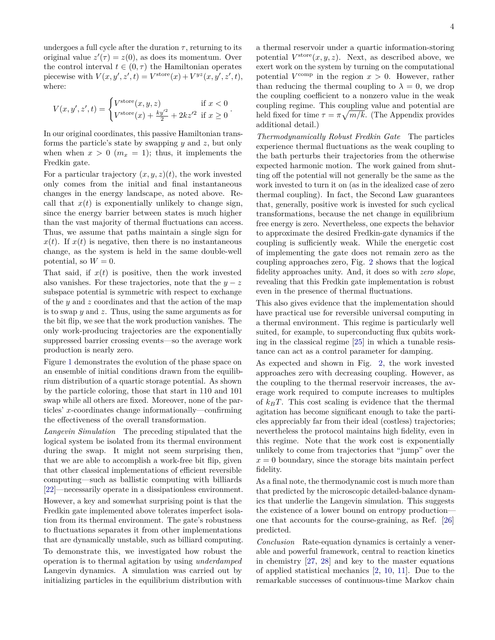undergoes a full cycle after the duration  $\tau$ , returning to its original value  $z'(\tau) = z(0)$ , as does its momentum. Over the control interval  $t \in (0, \tau)$  the Hamiltonian operates piecewise with  $V(x, y', z', t) = V^{\text{store}}(x) + V^{yz}(x, y', z', t),$ where:

$$
V(x, y', z', t) = \begin{cases} V^{\text{store}}(x, y, z) & \text{if } x < 0\\ V^{\text{store}}(x) + \frac{ky'^2}{2} + 2kz'^2 & \text{if } x \ge 0 \end{cases}.
$$

In our original coordinates, this passive Hamiltonian transforms the particle's state by swapping *y* and *z*, but only when when  $x > 0$  ( $m_x = 1$ ); thus, it implements the Fredkin gate.

For a particular trajectory  $(x, y, z)(t)$ , the work invested only comes from the initial and final instantaneous changes in the energy landscape, as noted above. Recall that  $x(t)$  is exponentially unlikely to change sign, since the energy barrier between states is much higher than the vast majority of thermal fluctuations can access. Thus, we assume that paths maintain a single sign for  $x(t)$ . If  $x(t)$  is negative, then there is no instantaneous change, as the system is held in the same double-well potential, so  $W = 0$ .

That said, if  $x(t)$  is positive, then the work invested also vanishes. For these trajectories, note that the  $y - z$ subspace potential is symmetric with respect to exchange of the *y* and *z* coordinates and that the action of the map is to swap *y* and *z*. Thus, using the same arguments as for the bit flip, we see that the work production vanishes. The only work-producing trajectories are the exponentially suppressed barrier crossing events—so the average work production is nearly zero.

Figure [1](#page-2-0) demonstrates the evolution of the phase space on an ensemble of initial conditions drawn from the equilibrium distribution of a quartic storage potential. As shown by the particle coloring, those that start in 110 and 101 swap while all others are fixed. Moreover, none of the particles' *x*-coordinates change informationally—confirming the effectiveness of the overall transformation.

*Langevin Simulation* The preceding stipulated that the logical system be isolated from its thermal environment during the swap. It might not seem surprising then, that we are able to accomplish a work-free bit flip, given that other classical implementations of efficient reversible computing—such as ballistic computing with billiards [\[22\]](#page-5-5)—necessarily operate in a dissipationless environment. However, a key and somewhat surprising point is that the Fredkin gate implemented above tolerates imperfect isolation from its thermal environment. The gate's robustness to fluctuations separates it from other implementations that are dynamically unstable, such as billiard computing. To demonstrate this, we investigated how robust the

operation is to thermal agitation by using *underdamped* Langevin dynamics. A simulation was carried out by initializing particles in the equilibrium distribution with

a thermal reservoir under a quartic information-storing potential  $V^{\text{store}}(x, y, z)$ . Next, as described above, we exert work on the system by turning on the computational potential  $V^{\text{comp}}$  in the region  $x > 0$ . However, rather than reducing the thermal coupling to  $\lambda = 0$ , we drop the coupling coefficient to a nonzero value in the weak coupling regime. This coupling value and potential are held fixed for time  $\tau = \pi \sqrt{m/k}$ . (The Appendix provides additional detail.)

*Thermodynamically Robust Fredkin Gate* The particles experience thermal fluctuations as the weak coupling to the bath perturbs their trajectories from the otherwise expected harmonic motion. The work gained from shutting off the potential will not generally be the same as the work invested to turn it on (as in the idealized case of zero thermal coupling). In fact, the Second Law guarantees that, generally, positive work is invested for such cyclical transformations, because the net change in equilibrium free energy is zero. Nevertheless, one expects the behavior to approximate the desired Fredkin-gate dynamics if the coupling is sufficiently weak. While the energetic cost of implementing the gate does not remain zero as the coupling approaches zero, Fig. [2](#page-4-15) shows that the logical fidelity approaches unity. And, it does so with *zero slope*, revealing that this Fredkin gate implementation is robust even in the presence of thermal fluctuations.

This also gives evidence that the implementation should have practical use for reversible universal computing in a thermal environment. This regime is particularly well suited, for example, to superconducting flux qubits working in the classical regime [\[25\]](#page-5-8) in which a tunable resistance can act as a control parameter for damping.

As expected and shown in Fig. [2,](#page-4-15) the work invested approaches zero with decreasing coupling. However, as the coupling to the thermal reservoir increases, the average work required to compute increases to multiples of  $k_B T$ . This cost scaling is evidence that the thermal agitation has become significant enough to take the particles appreciably far from their ideal (costless) trajectories; nevertheless the protocol maintains high fidelity, even in this regime. Note that the work cost is exponentially unlikely to come from trajectories that "jump" over the  $x = 0$  boundary, since the storage bits maintain perfect fidelity.

As a final note, the thermodynamic cost is much more than that predicted by the microscopic detailed-balance dynamics that underlie the Langevin simulation. This suggests the existence of a lower bound on entropy production one that accounts for the course-graining, as Ref. [\[26\]](#page-5-9) predicted.

*Conclusion* Rate-equation dynamics is certainly a venerable and powerful framework, central to reaction kinetics in chemistry [\[27,](#page-5-10) [28\]](#page-5-11) and key to the master equations of applied statistical mechanics [\[2,](#page-4-10) [10,](#page-4-11) [11\]](#page-4-12). Due to the remarkable successes of continuous-time Markov chain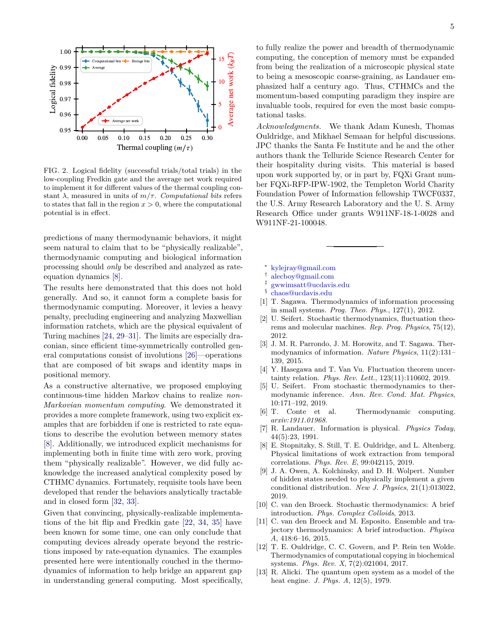

<span id="page-4-15"></span>(*𝑚*∕*𝜏*) 0.97 0.00 0.05 0.10 0.15 0.20 0.25 0.30 to states that fall in the region  $x > 0$ , where the computational stant  $\lambda$ , measured in units of  $m/\tau$ . *Computational bits* refers low-coupling Fredkin gate and the average net work required to implement it for different values of the thermal coupling conpotential is in effect.

predictions of many thermodynamic behaviors, it might seem natural to claim that to be "physically realizable", thermodynamic computing and biological information processing should *only* be described and analyzed as rateequation dynamics [\[8\]](#page-4-8).

The results here demonstrated that this does not hold generally. And so, it cannot form a complete basis for thermodynamic computing. Moreover, it levies a heavy penalty, precluding engineering and analyzing Maxwellian information ratchets, which are the physical equivalent of Turing machines [\[24,](#page-5-7) [29–](#page-5-12)[31\]](#page-5-13). The limits are especially draconian, since efficient time-symmetrically controlled general computations consist of involutions [\[26\]](#page-5-9)—operations that are composed of bit swaps and identity maps in positional memory.

As a constructive alternative, we proposed employing continuous-time hidden Markov chains to realize *non-Markovian momentum computing*. We demonstrated it provides a more complete framework, using two explicit examples that are forbidden if one is restricted to rate equations to describe the evolution between memory states [\[8\]](#page-4-8). Additionally, we introduced explicit mechanisms for implementing both in finite time with zero work, proving them "physically realizable". However, we did fully acknowledge the increased analytical complexity posed by CTHMC dynamics. Fortunately, requisite tools have been developed that render the behaviors analytically tractable and in closed form [\[32,](#page-5-14) [33\]](#page-5-15).

Given that convincing, physically-realizable implementations of the bit flip and Fredkin gate [\[22,](#page-5-5) [34,](#page-5-16) [35\]](#page-5-17) have been known for some time, one can only conclude that computing devices already operate beyond the restrictions imposed by rate-equation dynamics. The examples presented here were intentionally couched in the thermodynamics of information to help bridge an apparent gap in understanding general computing. Most specifically,

to fully realize the power and breadth of thermodynamic computing, the conception of memory must be expanded from being the realization of a microscopic physical state to being a mesoscopic coarse-graining, as Landauer emphasized half a century ago. Thus, CTHMCs and the momentum-based computing paradigm they inspire are invaluable tools, required for even the most basic computational tasks.

*Acknowledgments.* We thank Adam Kunesh, Thomas Ouldridge, and Mikhael Semaan for helpful discussions. JPC thanks the Santa Fe Institute and he and the other authors thank the Telluride Science Research Center for their hospitality during visits. This material is based upon work supported by, or in part by, FQXi Grant number FQXi-RFP-IPW-1902, the Templeton World Charity Foundation Power of Information fellowship TWCF0337, the U.S. Army Research Laboratory and the U. S. Army Research Office under grants W911NF-18-1-0028 and W911NF-21-100048.

- <span id="page-4-0"></span>∗ [kylejray@gmail.com](mailto:kylejray@gmail.com )
- <span id="page-4-1"></span>† [alecboy@gmail.com](mailto:alecboy@gmail.com)
- <span id="page-4-2"></span>‡ [gwwimsatt@ucdavis.edu](mailto:gwwimsatt@ucdavis.edu )
- <span id="page-4-3"></span>§ [chaos@ucdavis.edu](mailto:chaos@ucdavis.edu)
- <span id="page-4-4"></span>[1] T. Sagawa. Thermodynamics of information processing in small systems. *Prog. Theo. Phys.*, 127(1), 2012.
- <span id="page-4-10"></span>[2] U. Seifert. Stochastic thermodynamics, fluctuation theorems and molecular machines. *Rep. Prog. Physics*, 75(12), 2012.
- [3] J. M. R. Parrondo, J. M. Horowitz, and T. Sagawa. Thermodynamics of information. *Nature Physics*, 11(2):131– 139, 2015.
- [4] Y. Hasegawa and T. Van Vu. Fluctuation theorem uncertainty relation. *Phys. Rev. Lett.*, 123(11):110602, 2019.
- <span id="page-4-5"></span>[5] U. Seifert. From stochastic thermodynamics to thermodynamic inference. *Ann. Rev. Cond. Mat. Physics*, 10:171–192, 2019.
- <span id="page-4-6"></span>[6] T. Conte et al. Thermodynamic computing. *arxiv:1911.01968*.
- <span id="page-4-7"></span>[7] R. Landauer. Information is physical. *Physics Today*, 44(5):23, 1991.
- <span id="page-4-8"></span>[8] E. Stopnitzky, S. Still, T. E. Ouldridge, and L. Altenberg. Physical limitations of work extraction from temporal correlations. *Phys. Rev. E*, 99:042115, 2019.
- <span id="page-4-9"></span>[9] J. A. Owen, A. Kolchinsky, and D. H. Wolpert. Number of hidden states needed to physically implement a given conditional distribution. *New J. Physics*, 21(1):013022, 2019.
- <span id="page-4-11"></span>[10] C. van den Broeck. Stochastic thermodynamics: A brief introduction. *Phys. Complex Colloids*, 2013.
- <span id="page-4-12"></span>[11] C. van den Broeck and M. Esposito. Ensemble and trajectory thermodynamics: A brief introduction. *Phyisca A*, 418:6–16, 2015.
- <span id="page-4-13"></span>[12] T. E. Ouldridge, C. C. Govern, and P. Rein ten Wolde. Thermodynamics of computational copying in biochemical systems. *Phys. Rev. X*, 7(2):021004, 2017.
- <span id="page-4-14"></span>[13] R. Alicki. The quantum open system as a model of the heat engine. *J. Phys. A*, 12(5), 1979.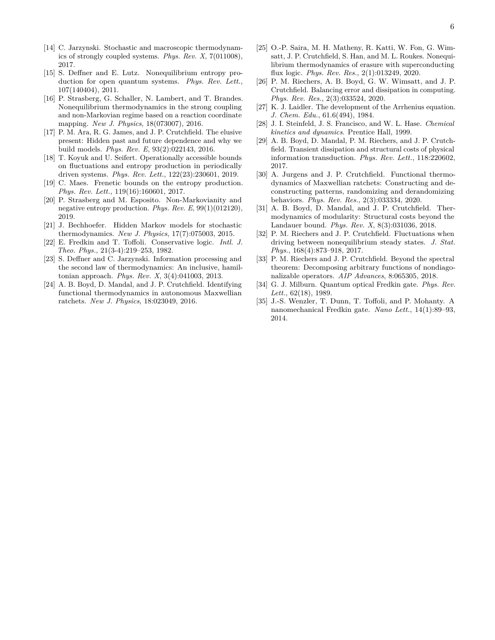- [14] C. Jarzynski. Stochastic and macroscopic thermodynamics of strongly coupled systems. *Phys. Rev. X*, 7(011008), 2017.
- [15] S. Deffner and E. Lutz. Nonequilibrium entropy production for open quantum systems. *Phys. Rev. Lett.*, 107(140404), 2011.
- <span id="page-5-0"></span>[16] P. Strasberg, G. Schaller, N. Lambert, and T. Brandes. Nonequilibrium thermodynamics in the strong coupling and non-Markovian regime based on a reaction coordinate mapping. *New J. Physics*, 18(073007), 2016.
- <span id="page-5-1"></span>[17] P. M. Ara, R. G. James, and J. P. Crutchfield. The elusive present: Hidden past and future dependence and why we build models. *Phys. Rev. E*, 93(2):022143, 2016.
- <span id="page-5-2"></span>[18] T. Koyuk and U. Seifert. Operationally accessible bounds on fluctuations and entropy production in periodically driven systems. *Phys. Rev. Lett.*, 122(23):230601, 2019.
- [19] C. Maes. Frenetic bounds on the entropy production. *Phys. Rev. Lett.*, 119(16):160601, 2017.
- <span id="page-5-3"></span>[20] P. Strasberg and M. Esposito. Non-Markovianity and negative entropy production. *Phys. Rev. E*, 99(1)(012120), 2019.
- <span id="page-5-4"></span>[21] J. Bechhoefer. Hidden Markov models for stochastic thermodynamics. *New J. Physics*, 17(7):075003, 2015.
- <span id="page-5-5"></span>[22] E. Fredkin and T. Toffoli. Conservative logic. *Intl. J. Theo. Phys.*, 21(3-4):219–253, 1982.
- <span id="page-5-6"></span>[23] S. Deffner and C. Jarzynski. Information processing and the second law of thermodynamics: An inclusive, hamiltonian approach. *Phys. Rev. X*, 3(4):041003, 2013.
- <span id="page-5-7"></span>[24] A. B. Boyd, D. Mandal, and J. P. Crutchfield. Identifying functional thermodynamics in autonomous Maxwellian ratchets. *New J. Physics*, 18:023049, 2016.
- <span id="page-5-8"></span>[25] O.-P. Saira, M. H. Matheny, R. Katti, W. Fon, G. Wimsatt, J. P. Crutchfield, S. Han, and M. L. Roukes. Nonequilibrium thermodynamics of erasure with superconducting flux logic. *Phys. Rev. Res.*, 2(1):013249, 2020.
- <span id="page-5-9"></span>[26] P. M. Riechers, A. B. Boyd, G. W. Wimsatt, and J. P. Crutchfield. Balancing error and dissipation in computing. *Phys. Rev. Res.*, 2(3):033524, 2020.
- <span id="page-5-10"></span>[27] K. J. Laidler. The development of the Arrhenius equation. *J. Chem. Edu.*, 61.6(494), 1984.
- <span id="page-5-11"></span>[28] J. I. Steinfeld, J. S. Francisco, and W. L. Hase. *Chemical kinetics and dynamics*. Prentice Hall, 1999.
- <span id="page-5-12"></span>[29] A. B. Boyd, D. Mandal, P. M. Riechers, and J. P. Crutchfield. Transient dissipation and structural costs of physical information transduction. *Phys. Rev. Lett.*, 118:220602, 2017.
- [30] A. Jurgens and J. P. Crutchfield. Functional thermodynamics of Maxwellian ratchets: Constructing and deconstructing patterns, randomizing and derandomizing behaviors. *Phys. Rev. Res.*, 2(3):033334, 2020.
- <span id="page-5-13"></span>[31] A. B. Boyd, D. Mandal, and J. P. Crutchfield. Thermodynamics of modularity: Structural costs beyond the Landauer bound. *Phys. Rev. X*, 8(3):031036, 2018.
- <span id="page-5-14"></span>[32] P. M. Riechers and J. P. Crutchfield. Fluctuations when driving between nonequilibrium steady states. *J. Stat. Phys.*, 168(4):873–918, 2017.
- <span id="page-5-15"></span>[33] P. M. Riechers and J. P. Crutchfield. Beyond the spectral theorem: Decomposing arbitrary functions of nondiagonalizable operators. *AIP Advances*, 8:065305, 2018.
- <span id="page-5-16"></span>[34] G. J. Milburn. Quantum optical Fredkin gate. *Phys. Rev. Lett.*, 62(18), 1989.
- <span id="page-5-17"></span>[35] J.-S. Wenzler, T. Dunn, T. Toffoli, and P. Mohanty. A nanomechanical Fredkin gate. *Nano Lett.*, 14(1):89–93, 2014.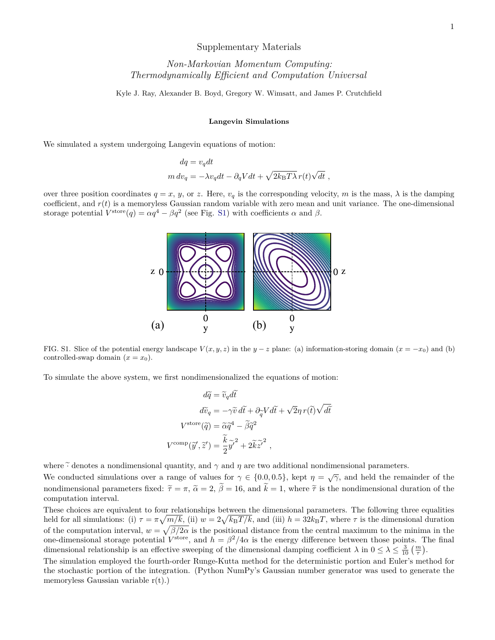## Supplementary Materials

## *Non-Markovian Momentum Computing: Thermodynamically Efficient and Computation Universal*

Kyle J. Ray, Alexander B. Boyd, Gregory W. Wimsatt, and James P. Crutchfield

## **Langevin Simulations**

We simulated a system undergoing Langevin equations of motion:

$$
\begin{split} dq &= v_q dt \\ m\, dv_q &= -\lambda v_q dt - \partial_q V dt + \sqrt{2 k_{\rm B} T \lambda} \, r(t) \sqrt{dt} \ , \end{split}
$$

over three position coordinates  $q = x$ ,  $y$ , or  $z$ . Here,  $v_q$  is the corresponding velocity,  $m$  is the mass,  $\lambda$  is the damping coefficient, and *r*(*t*) is a memoryless Gaussian random variable with zero mean and unit variance. The one-dimensional storage potential  $V^{\text{store}}(q) = \alpha q^4 - \beta q^2$  (see Fig. [S1\)](#page-2-0) with coefficients  $\alpha$  and  $\beta$ .



FIG. S1. Slice of the potential energy landscape  $V(x, y, z)$  in the  $y - z$  plane: (a) information-storing domain  $(x = -x_0)$  and (b) controlled-swap domain  $(x = x_0)$ .

To simulate the above system, we first nondimensionalized the equations of motion:

$$
d\tilde{q} = \tilde{v}_q d\tilde{t}
$$
  
\n
$$
d\tilde{v}_q = -\gamma \tilde{v} d\tilde{t} + \partial_{\tilde{q}} V d\tilde{t} + \sqrt{2}\eta r(\tilde{t}) \sqrt{d\tilde{t}}
$$
  
\n
$$
V^{\text{store}}(\tilde{q}) = \tilde{\alpha}\tilde{q}^4 - \tilde{\beta}\tilde{q}^2
$$
  
\n
$$
V^{\text{comp}}(\tilde{y}', \tilde{z}') = \frac{\tilde{k}}{2} \tilde{y}'^2 + 2\tilde{k}\tilde{z}'^2 ,
$$

where  $\tilde{\cdot}$  denotes a nondimensional quantity, and  $\gamma$  and  $\eta$  are two additional nondimensional parameters.

We conducted simulations over a range of values for  $\gamma \in \{0.0, 0.5\}$ , kept  $\eta = \sqrt{\gamma}$ , and held the remainder of the nondimensional parameters fixed:  $\tilde{\tau} = \pi$ ,  $\tilde{\alpha} = 2$ ,  $\tilde{\beta} = 16$ , and  $\tilde{k} = 1$ , where  $\tilde{\tau}$  is the nondimensional duration of the computation interval.

These choices are equivalent to four relationships between the dimensional parameters. The following three equalities held for all simulations: (i)  $\tau = \pi \sqrt{m/k}$ , (ii)  $w = 2\sqrt{k_B T/k}$ , and (iii)  $h = 32k_B T$ , where  $\tau$  is the dimensional duration of the computation interval,  $w = \sqrt{\beta/2\alpha}$  is the positional distance from the central maximum to the minima in the one-dimensional storage potential  $V^{\text{store}}$ , and  $h = \beta^2/4\alpha$  is the energy difference between those points. The final dimensional relationship is an effective sweeping of the dimensional damping coefficient  $\lambda$  in  $0 \leq \lambda \leq \frac{3}{10} \left( \frac{m}{\tau} \right)$ .

The simulation employed the fourth-order Runge-Kutta method for the deterministic portion and Euler's method for the stochastic portion of the integration. (Python NumPy's Gaussian number generator was used to generate the memoryless Gaussian variable  $r(t)$ .)